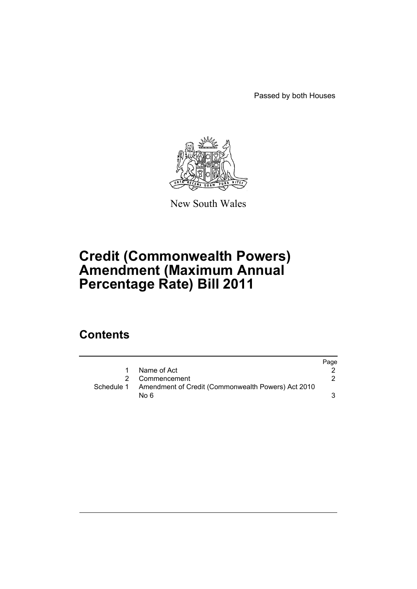Passed by both Houses



New South Wales

# **Credit (Commonwealth Powers) Amendment (Maximum Annual Percentage Rate) Bill 2011**

## **Contents**

|    |                                                               | Page |
|----|---------------------------------------------------------------|------|
| 1. | Name of Act                                                   |      |
| 2  | Commencement                                                  |      |
|    | Schedule 1 Amendment of Credit (Commonwealth Powers) Act 2010 |      |
|    | No 6                                                          |      |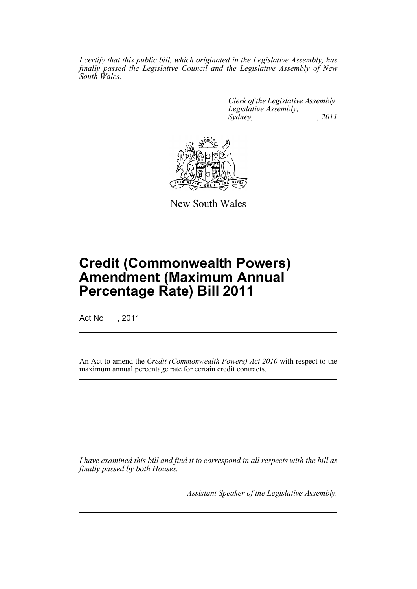*I certify that this public bill, which originated in the Legislative Assembly, has finally passed the Legislative Council and the Legislative Assembly of New South Wales.*

> *Clerk of the Legislative Assembly. Legislative Assembly, Sydney, , 2011*



New South Wales

# **Credit (Commonwealth Powers) Amendment (Maximum Annual Percentage Rate) Bill 2011**

Act No , 2011

An Act to amend the *Credit (Commonwealth Powers) Act 2010* with respect to the maximum annual percentage rate for certain credit contracts.

*I have examined this bill and find it to correspond in all respects with the bill as finally passed by both Houses.*

*Assistant Speaker of the Legislative Assembly.*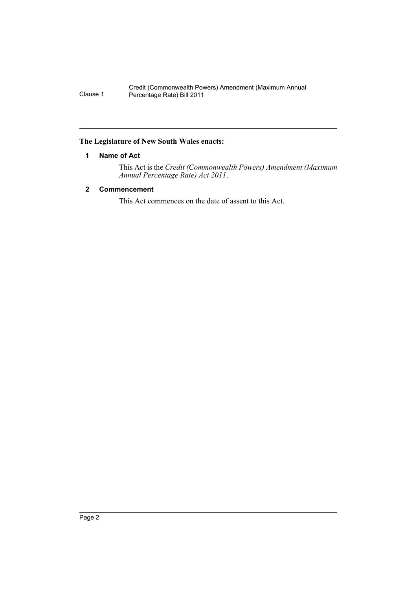Credit (Commonwealth Powers) Amendment (Maximum Annual Clause 1 Percentage Rate) Bill 2011

### <span id="page-3-0"></span>**The Legislature of New South Wales enacts:**

## **1 Name of Act**

This Act is the *Credit (Commonwealth Powers) Amendment (Maximum Annual Percentage Rate) Act 2011*.

## <span id="page-3-1"></span>**2 Commencement**

This Act commences on the date of assent to this Act.